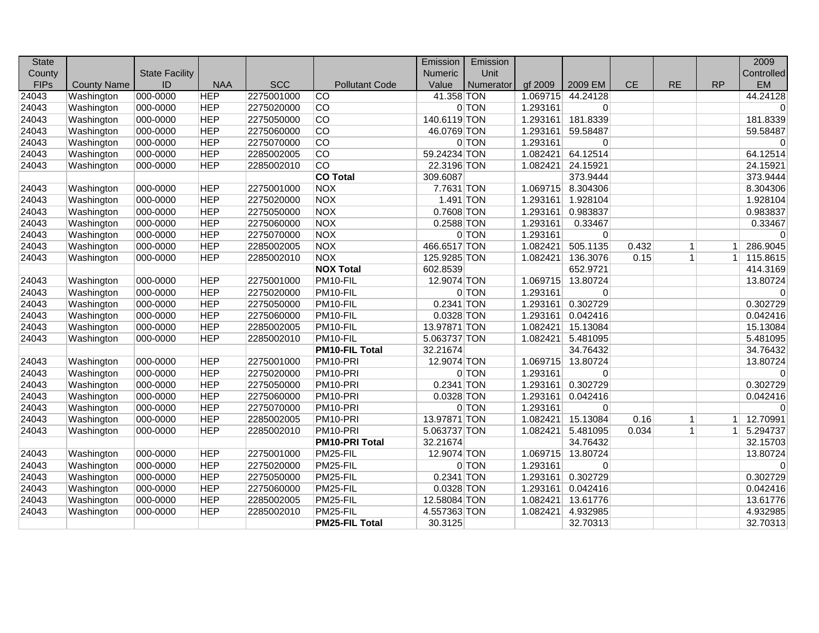| <b>State</b> |                    |                       |            |            |                       | Emission     | Emission  |          |                   |               |              |              | 2009           |
|--------------|--------------------|-----------------------|------------|------------|-----------------------|--------------|-----------|----------|-------------------|---------------|--------------|--------------|----------------|
| County       |                    | <b>State Facility</b> |            |            |                       | Numeric      | Unit      |          |                   |               |              |              | Controlled     |
| <b>FIPs</b>  | <b>County Name</b> | ID                    | <b>NAA</b> | <b>SCC</b> | <b>Pollutant Code</b> | Value        | Numerator | gf 2009  | 2009 EM           | $\mathsf{CE}$ | <b>RE</b>    | <b>RP</b>    | <b>EM</b>      |
| 24043        | Washington         | 000-0000              | <b>HEP</b> | 2275001000 | $\overline{C}$        | 41.358 TON   |           | 1.069715 | 44.24128          |               |              |              | 44.24128       |
| 24043        | Washington         | 000-0000              | <b>HEP</b> | 2275020000 | <b>CO</b>             |              | 0 TON     | 1.293161 | $\overline{0}$    |               |              |              | $\overline{0}$ |
| 24043        | Washington         | 000-0000              | <b>HEP</b> | 2275050000 | $\overline{CO}$       | 140.6119 TON |           | 1.293161 | 181.8339          |               |              |              | 181.8339       |
| 24043        | Washington         | 000-0000              | <b>HEP</b> | 2275060000 | CO                    | 46.0769 TON  |           | 1.293161 | 59.58487          |               |              |              | 59.58487       |
| 24043        | Washington         | 000-0000              | <b>HEP</b> | 2275070000 | CO                    |              | 0 TON     | 1.293161 | 0                 |               |              |              | $\overline{0}$ |
| 24043        | Washington         | 000-0000              | <b>HEP</b> | 2285002005 | <b>CO</b>             | 59.24234 TON |           | 1.082421 | 64.12514          |               |              |              | 64.12514       |
| 24043        | Washington         | 000-0000              | <b>HEP</b> | 2285002010 | $\overline{CO}$       | 22.3196 TON  |           | 1.082421 | 24.15921          |               |              |              | 24.15921       |
|              |                    |                       |            |            | <b>CO Total</b>       | 309.6087     |           |          | 373.9444          |               |              |              | 373.9444       |
| 24043        | Washington         | 000-0000              | <b>HEP</b> | 2275001000 | <b>NOX</b>            | 7.7631 TON   |           |          | 1.069715 8.304306 |               |              |              | 8.304306       |
| 24043        | Washington         | 000-0000              | <b>HEP</b> | 2275020000 | NOX                   | $1.491$ TON  |           | 1.293161 | 1.928104          |               |              |              | 1.928104       |
| 24043        | Washington         | 000-0000              | <b>HEP</b> | 2275050000 | <b>NOX</b>            | 0.7608 TON   |           |          | 1.293161 0.983837 |               |              |              | 0.983837       |
| 24043        | Washington         | 000-0000              | <b>HEP</b> | 2275060000 | <b>NOX</b>            | 0.2588 TON   |           | 1.293161 | 0.33467           |               |              |              | 0.33467        |
| 24043        | Washington         | 000-0000              | <b>HEP</b> | 2275070000 | <b>NOX</b>            |              | 0 TON     | 1.293161 | $\overline{0}$    |               |              |              | $\Omega$       |
| 24043        | Washington         | 000-0000              | <b>HEP</b> | 2285002005 | <b>NOX</b>            | 466.6517 TON |           | 1.082421 | 505.1135          | 0.432         | $\mathbf{1}$ | $\mathbf 1$  | 286.9045       |
| 24043        | Washington         | 000-0000              | <b>HEP</b> | 2285002010 | <b>NOX</b>            | 125.9285 TON |           | 1.082421 | 136.3076          | 0.15          | 1            | $\mathbf{1}$ | 115.8615       |
|              |                    |                       |            |            | <b>NOX Total</b>      | 602.8539     |           |          | 652.9721          |               |              |              | 414.3169       |
| 24043        | Washington         | 000-0000              | <b>HEP</b> | 2275001000 | PM10-FIL              | 12.9074 TON  |           | 1.069715 | 13.80724          |               |              |              | 13.80724       |
| 24043        | Washington         | 000-0000              | <b>HEP</b> | 2275020000 | PM10-FIL              |              | 0 TON     | 1.293161 | $\overline{0}$    |               |              |              | $\overline{0}$ |
| 24043        | Washington         | 000-0000              | <b>HEP</b> | 2275050000 | PM10-FIL              | 0.2341 TON   |           | 1.293161 | 0.302729          |               |              |              | 0.302729       |
| 24043        | Washington         | 000-0000              | <b>HEP</b> | 2275060000 | PM10-FIL              | 0.0328 TON   |           | 1.293161 | 0.042416          |               |              |              | 0.042416       |
| 24043        | Washington         | 000-0000              | <b>HEP</b> | 2285002005 | PM10-FIL              | 13.97871 TON |           | 1.082421 | 15.13084          |               |              |              | 15.13084       |
| 24043        | Washington         | 000-0000              | <b>HEP</b> | 2285002010 | PM10-FIL              | 5.063737 TON |           | 1.082421 | 5.481095          |               |              |              | 5.481095       |
|              |                    |                       |            |            | <b>PM10-FIL Total</b> | 32.21674     |           |          | 34.76432          |               |              |              | 34.76432       |
| 24043        | Washington         | 000-0000              | <b>HEP</b> | 2275001000 | PM10-PRI              | 12.9074 TON  |           | 1.069715 | 13.80724          |               |              |              | 13.80724       |
| 24043        | Washington         | 000-0000              | <b>HEP</b> | 2275020000 | PM10-PRI              |              | 0 TON     | 1.293161 | $\Omega$          |               |              |              | $\Omega$       |
| 24043        | Washington         | 000-0000              | <b>HEP</b> | 2275050000 | PM10-PRI              | 0.2341 TON   |           |          | 1.293161 0.302729 |               |              |              | 0.302729       |
| 24043        | Washington         | 000-0000              | <b>HEP</b> | 2275060000 | PM10-PRI              | 0.0328 TON   |           | 1.293161 | 0.042416          |               |              |              | 0.042416       |
| 24043        | Washington         | 000-0000              | <b>HEP</b> | 2275070000 | PM10-PRI              |              | 0 TON     | 1.293161 | $\overline{0}$    |               |              |              | $\overline{0}$ |
| 24043        | Washington         | 000-0000              | <b>HEP</b> | 2285002005 | PM10-PRI              | 13.97871 TON |           | 1.082421 | 15.13084          | 0.16          | $\vert$ 1    | 1            | 12.70991       |
| 24043        | Washington         | 000-0000              | <b>HEP</b> | 2285002010 | PM10-PRI              | 5.063737 TON |           | 1.082421 | 5.481095          | 0.034         | $\mathbf{1}$ | 1            | 5.294737       |
|              |                    |                       |            |            | PM10-PRI Total        | 32.21674     |           |          | 34.76432          |               |              |              | 32.15703       |
| 24043        | Washington         | 000-0000              | <b>HEP</b> | 2275001000 | PM25-FIL              | 12.9074 TON  |           | 1.069715 | 13.80724          |               |              |              | 13.80724       |
| 24043        | Washington         | 000-0000              | <b>HEP</b> | 2275020000 | PM25-FIL              |              | 0 TON     | 1.293161 | 0                 |               |              |              | $\overline{0}$ |
| 24043        | Washington         | 000-0000              | <b>HEP</b> | 2275050000 | PM25-FIL              | 0.2341 TON   |           | 1.293161 | 0.302729          |               |              |              | 0.302729       |
| 24043        | Washington         | 000-0000              | <b>HEP</b> | 2275060000 | PM25-FIL              | 0.0328 TON   |           | 1.293161 | 0.042416          |               |              |              | 0.042416       |
| 24043        | Washington         | 000-0000              | <b>HEP</b> | 2285002005 | PM25-FIL              | 12.58084 TON |           | 1.082421 | 13.61776          |               |              |              | 13.61776       |
| 24043        | Washington         | 000-0000              | <b>HEP</b> | 2285002010 | PM25-FIL              | 4.557363 TON |           | 1.082421 | 4.932985          |               |              |              | 4.932985       |
|              |                    |                       |            |            | <b>PM25-FIL Total</b> | 30.3125      |           |          | 32.70313          |               |              |              | 32.70313       |